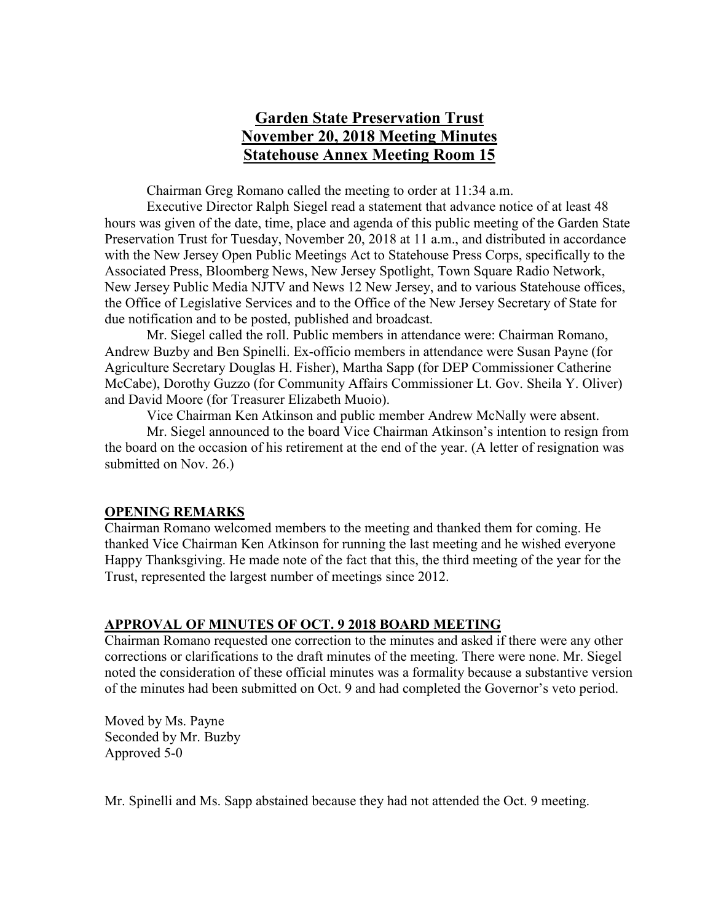# **Garden State Preservation Trust November 20, 2018 Meeting Minutes Statehouse Annex Meeting Room 15**

Chairman Greg Romano called the meeting to order at 11:34 a.m.

Executive Director Ralph Siegel read a statement that advance notice of at least 48 hours was given of the date, time, place and agenda of this public meeting of the Garden State Preservation Trust for Tuesday, November 20, 2018 at 11 a.m., and distributed in accordance with the New Jersey Open Public Meetings Act to Statehouse Press Corps, specifically to the Associated Press, Bloomberg News, New Jersey Spotlight, Town Square Radio Network, New Jersey Public Media NJTV and News 12 New Jersey, and to various Statehouse offices, the Office of Legislative Services and to the Office of the New Jersey Secretary of State for due notification and to be posted, published and broadcast.

Mr. Siegel called the roll. Public members in attendance were: Chairman Romano, Andrew Buzby and Ben Spinelli. Ex-officio members in attendance were Susan Payne (for Agriculture Secretary Douglas H. Fisher), Martha Sapp (for DEP Commissioner Catherine McCabe), Dorothy Guzzo (for Community Affairs Commissioner Lt. Gov. Sheila Y. Oliver) and David Moore (for Treasurer Elizabeth Muoio).

Vice Chairman Ken Atkinson and public member Andrew McNally were absent.

Mr. Siegel announced to the board Vice Chairman Atkinson's intention to resign from the board on the occasion of his retirement at the end of the year. (A letter of resignation was submitted on Nov. 26.)

## **OPENING REMARKS**

Chairman Romano welcomed members to the meeting and thanked them for coming. He thanked Vice Chairman Ken Atkinson for running the last meeting and he wished everyone Happy Thanksgiving. He made note of the fact that this, the third meeting of the year for the Trust, represented the largest number of meetings since 2012.

## **APPROVAL OF MINUTES OF OCT. 9 2018 BOARD MEETING**

Chairman Romano requested one correction to the minutes and asked if there were any other corrections or clarifications to the draft minutes of the meeting. There were none. Mr. Siegel noted the consideration of these official minutes was a formality because a substantive version of the minutes had been submitted on Oct. 9 and had completed the Governor's veto period.

Moved by Ms. Payne Seconded by Mr. Buzby Approved 5-0

Mr. Spinelli and Ms. Sapp abstained because they had not attended the Oct. 9 meeting.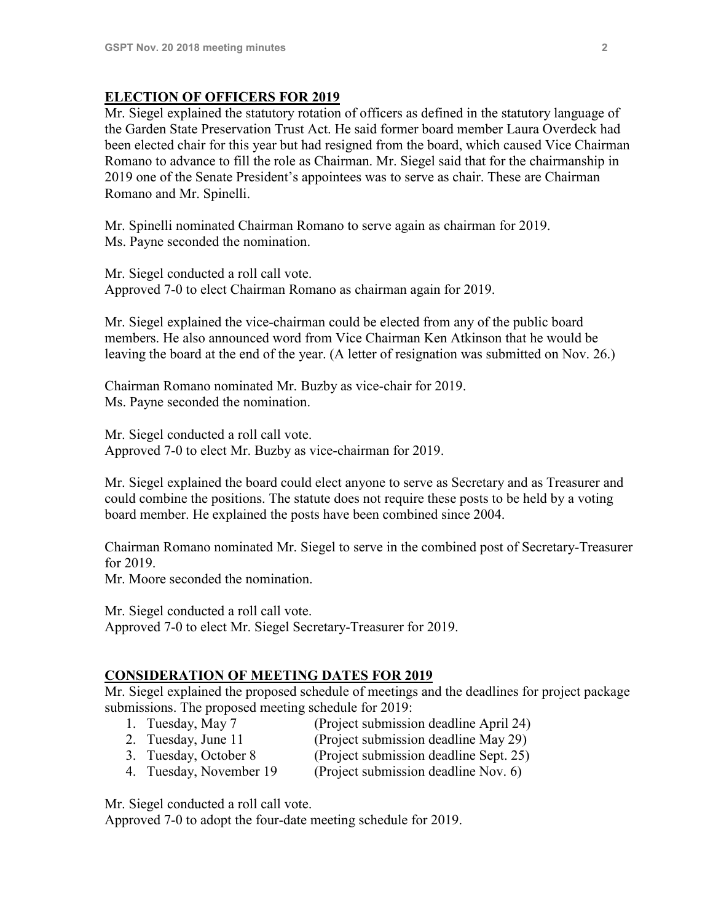### **ELECTION OF OFFICERS FOR 2019**

Mr. Siegel explained the statutory rotation of officers as defined in the statutory language of the Garden State Preservation Trust Act. He said former board member Laura Overdeck had been elected chair for this year but had resigned from the board, which caused Vice Chairman Romano to advance to fill the role as Chairman. Mr. Siegel said that for the chairmanship in 2019 one of the Senate President's appointees was to serve as chair. These are Chairman Romano and Mr. Spinelli.

Mr. Spinelli nominated Chairman Romano to serve again as chairman for 2019. Ms. Payne seconded the nomination.

Mr. Siegel conducted a roll call vote. Approved 7-0 to elect Chairman Romano as chairman again for 2019.

Mr. Siegel explained the vice-chairman could be elected from any of the public board members. He also announced word from Vice Chairman Ken Atkinson that he would be leaving the board at the end of the year. (A letter of resignation was submitted on Nov. 26.)

Chairman Romano nominated Mr. Buzby as vice-chair for 2019. Ms. Payne seconded the nomination.

Mr. Siegel conducted a roll call vote. Approved 7-0 to elect Mr. Buzby as vice-chairman for 2019.

Mr. Siegel explained the board could elect anyone to serve as Secretary and as Treasurer and could combine the positions. The statute does not require these posts to be held by a voting board member. He explained the posts have been combined since 2004.

Chairman Romano nominated Mr. Siegel to serve in the combined post of Secretary-Treasurer for 2019.

Mr. Moore seconded the nomination.

Mr. Siegel conducted a roll call vote. Approved 7-0 to elect Mr. Siegel Secretary-Treasurer for 2019.

## **CONSIDERATION OF MEETING DATES FOR 2019**

Mr. Siegel explained the proposed schedule of meetings and the deadlines for project package submissions. The proposed meeting schedule for 2019:

- 1. Tuesday, May 7 (Project submission deadline April 24)
	-
- 2. Tuesday, June 11 (Project submission deadline May 29)
- 3. Tuesday, October 8 (Project submission deadline Sept. 25)
- 4. Tuesday, November 19 (Project submission deadline Nov. 6)

Mr. Siegel conducted a roll call vote.

Approved 7-0 to adopt the four-date meeting schedule for 2019.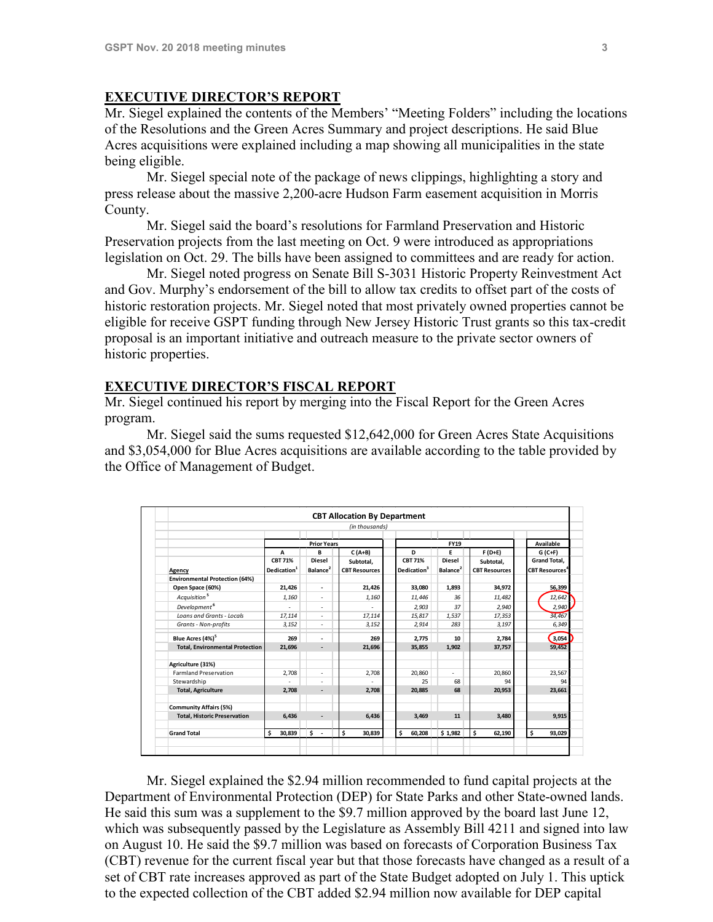# **EXECUTIVE DIRECTOR'S REPORT**

Mr. Siegel explained the contents of the Members' "Meeting Folders" including the locations of the Resolutions and the Green Acres Summary and project descriptions. He said Blue Acres acquisitions were explained including a map showing all municipalities in the state being eligible.

Mr. Siegel special note of the package of news clippings, highlighting a story and press release about the massive 2,200-acre Hudson Farm easement acquisition in Morris County.

Mr. Siegel said the board's resolutions for Farmland Preservation and Historic Preservation projects from the last meeting on Oct. 9 were introduced as appropriations legislation on Oct. 29. The bills have been assigned to committees and are ready for action.

Mr. Siegel noted progress on Senate Bill S-3031 Historic Property Reinvestment Act and Gov. Murphy's endorsement of the bill to allow tax credits to offset part of the costs of historic restoration projects. Mr. Siegel noted that most privately owned properties cannot be eligible for receive GSPT funding through New Jersey Historic Trust grants so this tax-credit proposal is an important initiative and outreach measure to the private sector owners of historic properties.

### **EXECUTIVE DIRECTOR'S FISCAL REPORT**

Mr. Siegel continued his report by merging into the Fiscal Report for the Green Acres program.

Mr. Siegel said the sums requested \$12,642,000 for Green Acres State Acquisitions and \$3,054,000 for Blue Acres acquisitions are available according to the table provided by the Office of Management of Budget.

|                                        |                                                |                                            | (in thousands)                                |                                                |                                            |                                               |                                                         |
|----------------------------------------|------------------------------------------------|--------------------------------------------|-----------------------------------------------|------------------------------------------------|--------------------------------------------|-----------------------------------------------|---------------------------------------------------------|
|                                        | <b>Prior Years</b>                             |                                            |                                               | <b>FY19</b>                                    |                                            |                                               | Available                                               |
| Agency                                 | A<br><b>CBT 71%</b><br>Dedication <sup>1</sup> | B<br><b>Diesel</b><br>Balance <sup>2</sup> | $C(A+B)$<br>Subtotal,<br><b>CBT Resources</b> | D<br><b>CBT 71%</b><br>Dedication <sup>3</sup> | Е<br><b>Diesel</b><br>Balance <sup>2</sup> | $F(D+E)$<br>Subtotal,<br><b>CBT Resources</b> | $G(C+F)$<br><b>Grand Total.</b><br><b>CBT Resources</b> |
|                                        |                                                |                                            |                                               |                                                |                                            |                                               |                                                         |
| Open Space (60%)                       | 21,426                                         | $\blacksquare$                             | 21,426                                        | 33,080                                         | 1,893                                      | 34.972                                        | 56.399                                                  |
| Acquisition <sup>5</sup>               | 1.160                                          | ٠                                          | 1.160                                         | 11.446                                         | 36                                         | 11.482                                        | 12.642                                                  |
| Development <sup>6</sup>               | ٠                                              | ٠                                          | ٠                                             | 2.903                                          | 37                                         | 2.940                                         | 2,940                                                   |
| Loans and Grants - Locals              | 17,114                                         | $\overline{\phantom{a}}$                   | 17,114                                        | 15,817                                         | 1,537                                      | 17,353                                        | 34,467                                                  |
| Grants - Non-profits                   | 3,152                                          | $\overline{a}$                             | 3,152                                         | 2.914                                          | 283                                        | 3,197                                         | 6,349                                                   |
| Blue Acres (4%) <sup>5</sup>           | 269                                            | $\overline{\phantom{a}}$                   | 269                                           | 2.775                                          | 10                                         | 2,784                                         | 3,054                                                   |
| <b>Total, Environmental Protection</b> | 21.696                                         | $\overline{\phantom{a}}$                   | 21.696                                        | 35,855                                         | 1.902                                      | 37.757                                        | 59,452                                                  |
| Agriculture (31%)                      |                                                |                                            |                                               |                                                |                                            |                                               |                                                         |
| <b>Farmland Preservation</b>           | 2,708                                          | $\overline{\phantom{a}}$                   | 2.708                                         | 20,860                                         | $\overline{a}$                             | 20,860                                        | 23,567                                                  |
| Stewardship                            |                                                | $\overline{\phantom{0}}$                   |                                               | 25                                             | 68                                         | 94                                            |                                                         |
| <b>Total, Agriculture</b>              | 2.708                                          |                                            | 2.708                                         | 20.885                                         | 68                                         | 20.953                                        | 23.661                                                  |
| <b>Community Affairs (5%)</b>          |                                                |                                            |                                               |                                                |                                            |                                               |                                                         |
| <b>Total, Historic Preservation</b>    | 6.436                                          | $\overline{\phantom{a}}$                   | 6,436                                         | 3.469                                          | 11                                         | 3.480                                         | 9.915                                                   |
| <b>Grand Total</b>                     | \$<br>30,839                                   | $\ddot{\textbf{s}}$ .                      | \$<br>30,839                                  | \$<br>60,208                                   | \$1,982                                    | \$<br>62,190                                  | \$<br>93,029                                            |

Mr. Siegel explained the \$2.94 million recommended to fund capital projects at the Department of Environmental Protection (DEP) for State Parks and other State-owned lands. He said this sum was a supplement to the \$9.7 million approved by the board last June 12, which was subsequently passed by the Legislature as Assembly Bill 4211 and signed into law on August 10. He said the \$9.7 million was based on forecasts of Corporation Business Tax (CBT) revenue for the current fiscal year but that those forecasts have changed as a result of a set of CBT rate increases approved as part of the State Budget adopted on July 1. This uptick to the expected collection of the CBT added \$2.94 million now available for DEP capital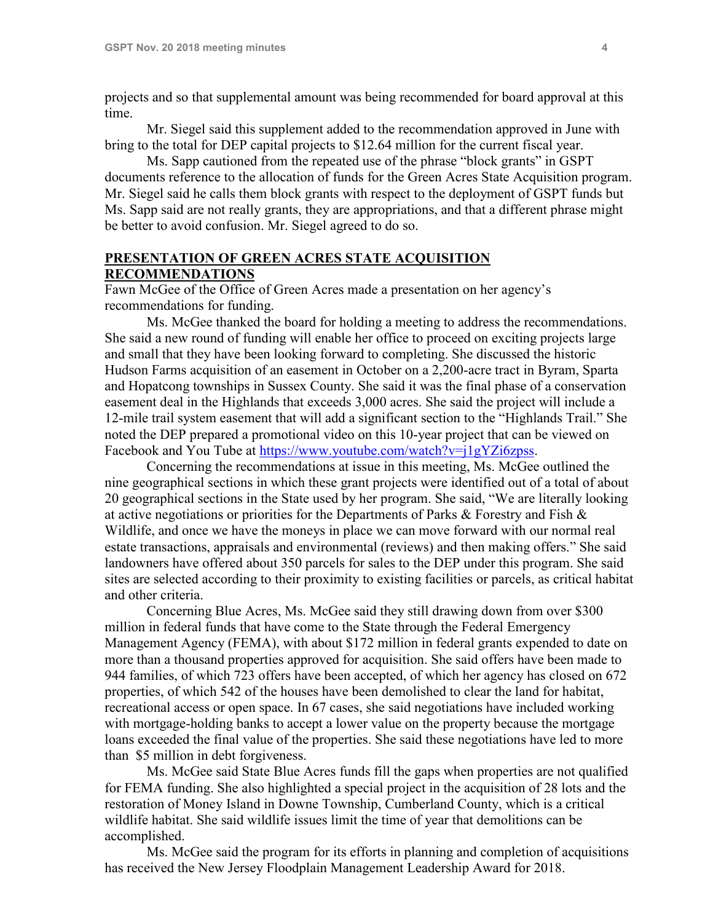projects and so that supplemental amount was being recommended for board approval at this time.

Mr. Siegel said this supplement added to the recommendation approved in June with bring to the total for DEP capital projects to \$12.64 million for the current fiscal year.

Ms. Sapp cautioned from the repeated use of the phrase "block grants" in GSPT documents reference to the allocation of funds for the Green Acres State Acquisition program. Mr. Siegel said he calls them block grants with respect to the deployment of GSPT funds but Ms. Sapp said are not really grants, they are appropriations, and that a different phrase might be better to avoid confusion. Mr. Siegel agreed to do so.

#### **PRESENTATION OF GREEN ACRES STATE ACQUISITION RECOMMENDATIONS**

Fawn McGee of the Office of Green Acres made a presentation on her agency's recommendations for funding.

Ms. McGee thanked the board for holding a meeting to address the recommendations. She said a new round of funding will enable her office to proceed on exciting projects large and small that they have been looking forward to completing. She discussed the historic Hudson Farms acquisition of an easement in October on a 2,200-acre tract in Byram, Sparta and Hopatcong townships in Sussex County. She said it was the final phase of a conservation easement deal in the Highlands that exceeds 3,000 acres. She said the project will include a 12-mile trail system easement that will add a significant section to the "Highlands Trail." She noted the DEP prepared a promotional video on this 10-year project that can be viewed on Facebook and You Tube at [https://www.youtube.com/watch?v=j1gYZi6zpss.](https://www.youtube.com/watch?v=j1gYZi6zpss)

Concerning the recommendations at issue in this meeting, Ms. McGee outlined the nine geographical sections in which these grant projects were identified out of a total of about 20 geographical sections in the State used by her program. She said, "We are literally looking at active negotiations or priorities for the Departments of Parks  $\&$  Forestry and Fish  $\&$ Wildlife, and once we have the moneys in place we can move forward with our normal real estate transactions, appraisals and environmental (reviews) and then making offers." She said landowners have offered about 350 parcels for sales to the DEP under this program. She said sites are selected according to their proximity to existing facilities or parcels, as critical habitat and other criteria.

Concerning Blue Acres, Ms. McGee said they still drawing down from over \$300 million in federal funds that have come to the State through the Federal Emergency Management Agency (FEMA), with about \$172 million in federal grants expended to date on more than a thousand properties approved for acquisition. She said offers have been made to 944 families, of which 723 offers have been accepted, of which her agency has closed on 672 properties, of which 542 of the houses have been demolished to clear the land for habitat, recreational access or open space. In 67 cases, she said negotiations have included working with mortgage-holding banks to accept a lower value on the property because the mortgage loans exceeded the final value of the properties. She said these negotiations have led to more than \$5 million in debt forgiveness.

Ms. McGee said State Blue Acres funds fill the gaps when properties are not qualified for FEMA funding. She also highlighted a special project in the acquisition of 28 lots and the restoration of Money Island in Downe Township, Cumberland County, which is a critical wildlife habitat. She said wildlife issues limit the time of year that demolitions can be accomplished.

Ms. McGee said the program for its efforts in planning and completion of acquisitions has received the New Jersey Floodplain Management Leadership Award for 2018.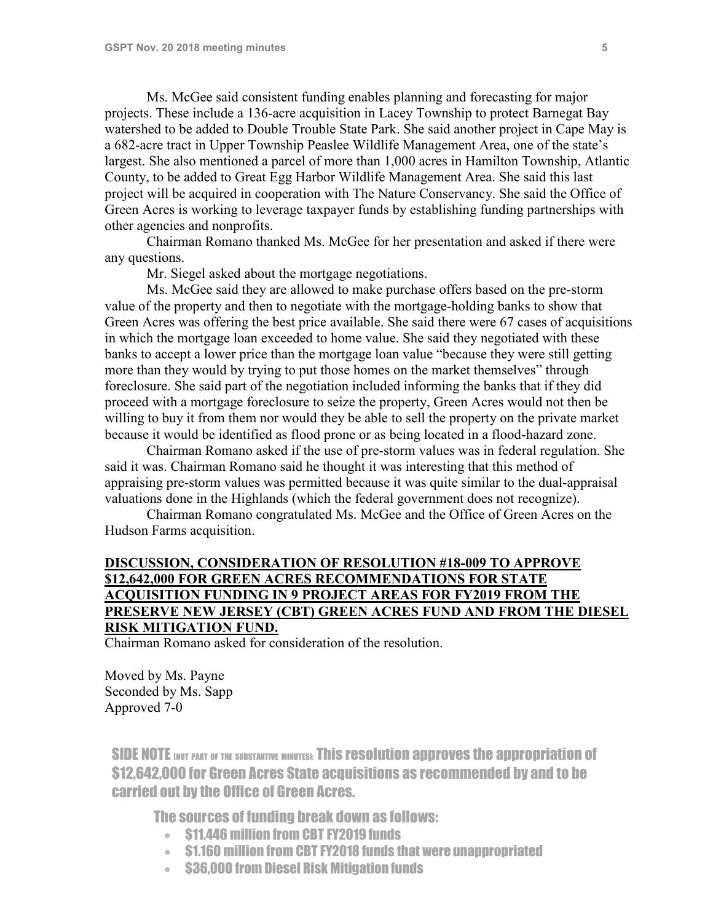Ms. McGee said consistent funding enables planning and forecasting for major projects. These include a 136-acre acquisition in Lacey Township to protect Barnegat Bay watershed to be added to Double Trouble State Park. She said another project in Cape May is a 682-acre tract in Upper Township Peaslee Wildlife Management Area, one of the state's largest. She also mentioned a parcel of more than 1,000 acres in Hamilton Township, Atlantic County, to be added to Great Egg Harbor Wildlife Management Area. She said this last project will be acquired in cooperation with The Nature Conservancy. She said the Office of Green Acres is working to leverage taxpayer funds by establishing funding partnerships with other agencies and nonprofits.

Chairman Romano thanked Ms. McGee for her presentation and asked if there were any questions.

Mr. Siegel asked about the mortgage negotiations.

Ms. McGee said they are allowed to make purchase offers based on the pre-storm value of the property and then to negotiate with the mortgage-holding banks to show that Green Acres was offering the best price available. She said there were 67 cases of acquisitions in which the mortgage loan exceeded to home value. She said they negotiated with these banks to accept a lower price than the mortgage loan value "because they were still getting more than they would by trying to put those homes on the market themselves" through foreclosure. She said part of the negotiation included informing the banks that if they did proceed with a mortgage foreclosure to seize the property, Green Acres would not then be willing to buy it from them nor would they be able to sell the property on the private market because it would be identified as flood prone or as being located in a flood-hazard zone.

Chairman Romano asked if the use of pre-storm values was in federal regulation. She said it was. Chairman Romano said he thought it was interesting that this method of appraising pre-storm values was permitted because it was quite similar to the dual-appraisal valuations done in the Highlands (which the federal government does not recognize).

Chairman Romano congratulated Ms. McGee and the Office of Green Acres on the Hudson Farms acquisition.

### **DISCUSSION, CONSIDERATION OF RESOLUTION #18-009 TO APPROVE \$12,642,000 FOR GREEN ACRES RECOMMENDATIONS FOR STATE ACQUISITION FUNDING IN 9 PROJECT AREAS FOR FY2019 FROM THE PRESERVE NEW JERSEY (CBT) GREEN ACRES FUND AND FROM THE DIESEL RISK MITIGATION FUND.**

Chairman Romano asked for consideration of the resolution.

Moved by Ms. Payne Seconded by Ms. Sapp Approved 7-0

SIDE NOTE (NOT PART OF THE SUBSTANTIVE MINUTES): This resolution approves the appropriation of \$12,642,000 for Green Acres State acquisitions as recommended by and to be carried out by the Office of Green Acres.

The sources of funding break down as follows:

- \$11.446 million from CBT FY2019 funds
- \$1.160 million from CBT FY2018 funds that were unappropriated
- \$36,000 from Diesel Risk Mitigation funds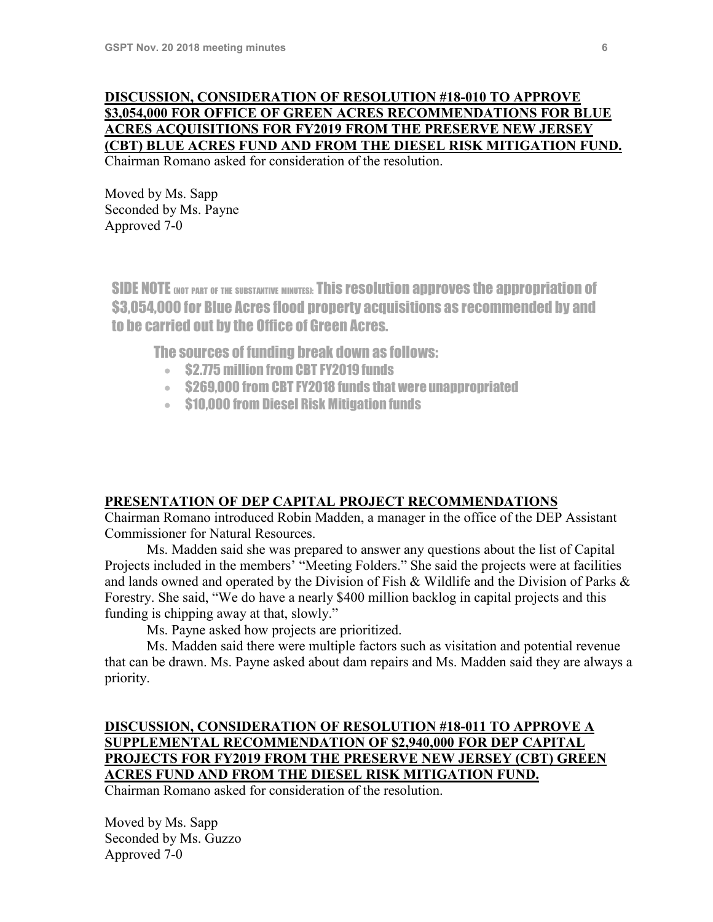### **DISCUSSION, CONSIDERATION OF RESOLUTION #18-010 TO APPROVE \$3,054,000 FOR OFFICE OF GREEN ACRES RECOMMENDATIONS FOR BLUE ACRES ACQUISITIONS FOR FY2019 FROM THE PRESERVE NEW JERSEY (CBT) BLUE ACRES FUND AND FROM THE DIESEL RISK MITIGATION FUND.**  Chairman Romano asked for consideration of the resolution.

Moved by Ms. Sapp Seconded by Ms. Payne Approved 7-0

SIDE NOTE (NOT PART OF THE SUBSTANTIVE MINUTES): This resolution approves the appropriation of \$3,054,000 for Blue Acres flood property acquisitions as recommended by and to be carried out by the Office of Green Acres.

The sources of funding break down as follows:

- \$2.775 million from CBT FY2019 funds
- \$269,000 from CBT FY2018 funds that were unappropriated
- \$10,000 from Diesel Risk Mitigation funds

### **PRESENTATION OF DEP CAPITAL PROJECT RECOMMENDATIONS**

Chairman Romano introduced Robin Madden, a manager in the office of the DEP Assistant Commissioner for Natural Resources.

Ms. Madden said she was prepared to answer any questions about the list of Capital Projects included in the members' "Meeting Folders." She said the projects were at facilities and lands owned and operated by the Division of Fish & Wildlife and the Division of Parks & Forestry. She said, "We do have a nearly \$400 million backlog in capital projects and this funding is chipping away at that, slowly."

Ms. Payne asked how projects are prioritized.

Ms. Madden said there were multiple factors such as visitation and potential revenue that can be drawn. Ms. Payne asked about dam repairs and Ms. Madden said they are always a priority.

## **DISCUSSION, CONSIDERATION OF RESOLUTION #18-011 TO APPROVE A SUPPLEMENTAL RECOMMENDATION OF \$2,940,000 FOR DEP CAPITAL PROJECTS FOR FY2019 FROM THE PRESERVE NEW JERSEY (CBT) GREEN ACRES FUND AND FROM THE DIESEL RISK MITIGATION FUND.**

Chairman Romano asked for consideration of the resolution.

Moved by Ms. Sapp Seconded by Ms. Guzzo Approved 7-0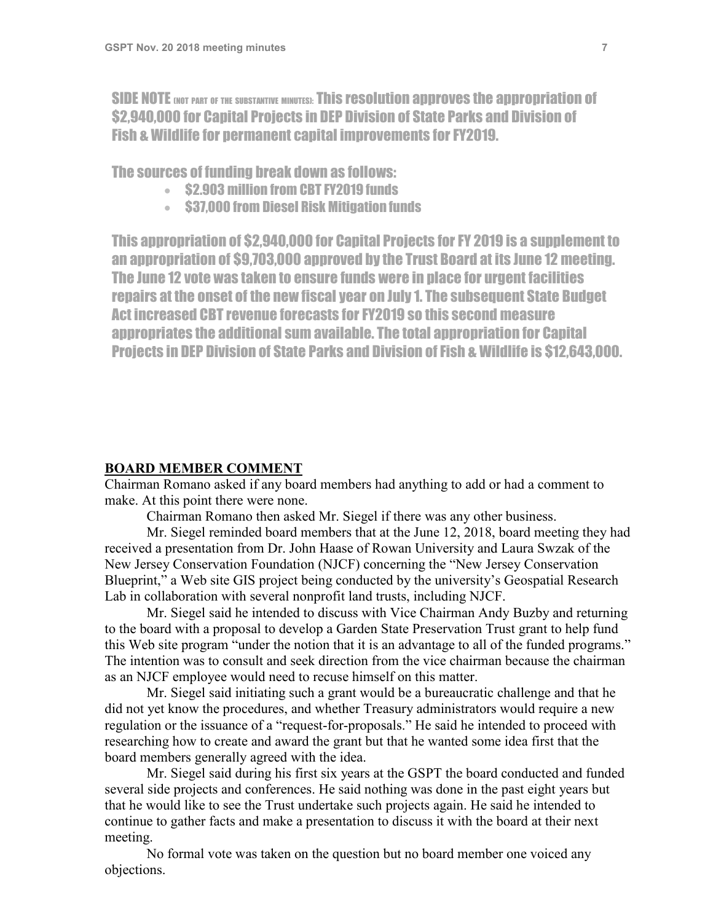SIDE NOTE (NOT PART OF THE SUBSTANTIVE MINUTES): This resolution approves the appropriation of \$2,940,000 for Capital Projects in DEP Division of State Parks and Division of Fish & Wildlife for permanent capital improvements for FY2019.

The sources of funding break down as follows:

- \$2.903 million from CBT FY2019 funds
- \$37,000 from Diesel Risk Mitigation funds

This appropriation of \$2,940,000 for Capital Projects for FY 2019 is a supplement to an appropriation of \$9,703,000 approved by the Trust Board at its June 12 meeting. The June 12 vote was taken to ensure funds were in place for urgent facilities repairs at the onset of the new fiscal year on July 1. The subsequent State Budget Act increased CBT revenue forecasts for FY2019 so this second measure appropriates the additional sum available. The total appropriation for Capital Projects in DEP Division of State Parks and Division of Fish & Wildlife is \$12,643,000.

#### **BOARD MEMBER COMMENT**

Chairman Romano asked if any board members had anything to add or had a comment to make. At this point there were none.

Chairman Romano then asked Mr. Siegel if there was any other business.

Mr. Siegel reminded board members that at the June 12, 2018, board meeting they had received a presentation from Dr. John Haase of Rowan University and Laura Swzak of the New Jersey Conservation Foundation (NJCF) concerning the "New Jersey Conservation Blueprint," a Web site GIS project being conducted by the university's Geospatial Research Lab in collaboration with several nonprofit land trusts, including NJCF.

Mr. Siegel said he intended to discuss with Vice Chairman Andy Buzby and returning to the board with a proposal to develop a Garden State Preservation Trust grant to help fund this Web site program "under the notion that it is an advantage to all of the funded programs." The intention was to consult and seek direction from the vice chairman because the chairman as an NJCF employee would need to recuse himself on this matter.

Mr. Siegel said initiating such a grant would be a bureaucratic challenge and that he did not yet know the procedures, and whether Treasury administrators would require a new regulation or the issuance of a "request-for-proposals." He said he intended to proceed with researching how to create and award the grant but that he wanted some idea first that the board members generally agreed with the idea.

Mr. Siegel said during his first six years at the GSPT the board conducted and funded several side projects and conferences. He said nothing was done in the past eight years but that he would like to see the Trust undertake such projects again. He said he intended to continue to gather facts and make a presentation to discuss it with the board at their next meeting.

No formal vote was taken on the question but no board member one voiced any objections.